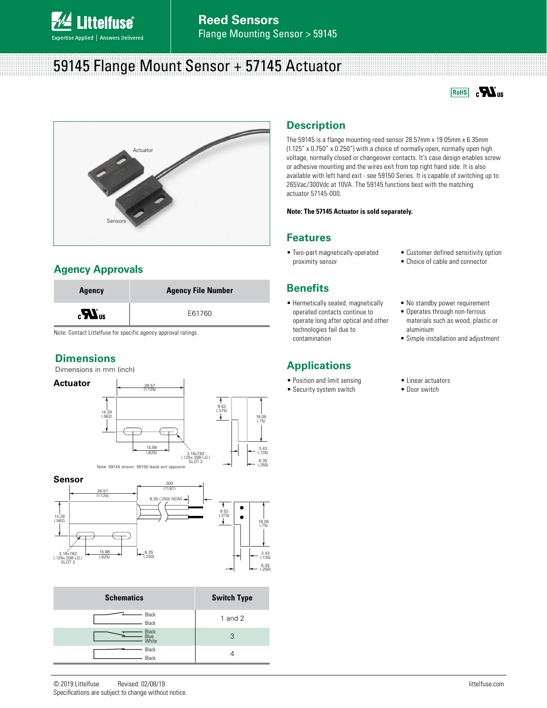

# 59145 Flange Mount Sensor + 57145 Actuator





## **Agency Approvals**



Note: Contact Littelfuse for specific agency approval ratings.

## **Dimensions**

Dimensions in mm (inch)









| <b>Schematics</b>      | <b>Switch Type</b> |
|------------------------|--------------------|
| Black<br>Black         | 1 and $2$          |
| Black<br>Blue<br>White | 3                  |
| Black<br>Black         |                    |

# **Description**

The 59145 is a flange mounting reed sensor 28.57mm x 19.05mm x 6.35mm (1.125" x 0.750" x 0.250") with a choice of normally open, normally open high voltage, normally closed or changeover contacts. It's case design enables screw or adhesive mounting and the wires exit from top right hand side. It is also available with left hand exit - see 59150 Series. It is capable of switching up to 265Vac/300Vdc at 10VA. The 59145 functions best with the matching actuator 57145-000.

#### **Note: The 57145 Actuator is sold separately.**

### **Features**

- Two-part magnetically operated proximity sensor
- Customer defined sensitivity option
- Choice of cable and connector

• No standby power requirement • Operates through non-ferrous materials such as wood, plastic or

- **Benefits**
- Hermetically sealed, magnetically operated contacts continue to operate long after optical and other technologies fail due to contamination

## **Applications**

- Position and limit sensing
- Security system switch
- Simple installation and adjustment
- Linear actuators
- Door switch

aluminium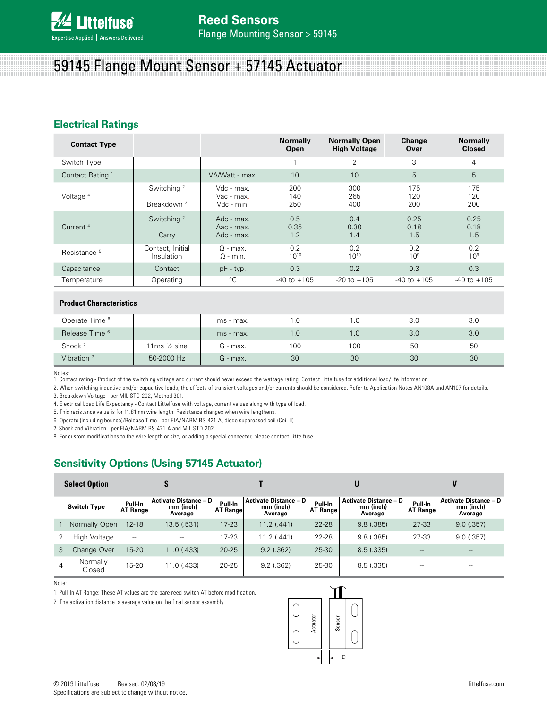

# 59145 Flange Mount Sensor + 57145 Actuator

## **Electrical Ratings**

| <b>Contact Type</b>         |                                                  |                                        | <b>Normally</b><br>Open | <b>Normally Open</b><br><b>High Voltage</b> | Change<br>Over         | <b>Normally</b><br><b>Closed</b> |
|-----------------------------|--------------------------------------------------|----------------------------------------|-------------------------|---------------------------------------------|------------------------|----------------------------------|
| Switch Type                 |                                                  |                                        |                         | 2                                           | 3                      | $\overline{4}$                   |
| Contact Rating <sup>1</sup> |                                                  | VA/Watt - max.                         | 10                      | 10                                          | 5                      | 5                                |
| Voltage <sup>4</sup>        | Switching <sup>2</sup><br>Breakdown <sup>3</sup> | Vdc - max.<br>Vac - max.<br>Vdc - min. | 200<br>140<br>250       | 300<br>265<br>400                           | 175<br>120<br>200      | 175<br>120<br>200                |
| Current <sup>4</sup>        | Switching <sup>2</sup><br>Carry                  | Adc - max.<br>Aac - max.<br>Adc - max. | 0.5<br>0.35<br>1.2      | 0.4<br>0.30<br>1.4                          | 0.25<br>0.18<br>1.5    | 0.25<br>0.18<br>1.5              |
| Resistance <sup>5</sup>     | Contact, Initial<br>Insulation                   | $\Omega$ - max.<br>$\Omega$ - min.     | 0.2<br>$10^{10}$        | 0.2<br>$10^{10}$                            | 0.2<br>10 <sup>9</sup> | 0.2<br>10 <sup>9</sup>           |
| Capacitance                 | Contact                                          | $pF - typ.$                            | 0.3                     | 0.2                                         | 0.3                    | 0.3                              |
| Temperature                 | Operating                                        | $^{\circ}$ C                           | $-40$ to $+105$         | $-20$ to $+105$                             | $-40$ to $+105$        | $-40$ to $+105$                  |
|                             |                                                  |                                        |                         |                                             |                        |                                  |

#### **Product Characteristics**

| Operate Time <sup>6</sup> |             | ms - max.  | 1.0 | 1.0 | 3.0 | 3.0 |
|---------------------------|-------------|------------|-----|-----|-----|-----|
| Release Time <sup>6</sup> |             | ms - max.  | 1.0 | 1.0 | 3.0 | 3.0 |
| Shock <sup>7</sup>        | 11ms ½ sine | G - max.   | 100 | 100 | 50  | 50  |
| Vibration $7$             | 50-2000 Hz  | $G$ - max. | 30  | 30  | 30  | 30  |

Notes:

1. Contact rating - Product of the switching voltage and current should never exceed the wattage rating. Contact Littelfuse for additional load/life information.

2. When switching inductive and/or capacitive loads, the effects of transient voltages and/or currents should be considered. Refer to Application Notes AN108A and AN107 for details. 3. Breakdown Voltage - per MIL-STD-202, Method 301.

4. Electrical Load Life Expectancy - Contact Littelfuse with voltage, current values along with type of load.

5. This resistance value is for 11.81mm wire length. Resistance changes when wire lengthens.

6. Operate (including bounce)/Release Time - per EIA/NARM RS-421-A, diode suppressed coil (Coil II).

7. Shock and Vibration - per EIA/NARM RS-421-A and MIL-STD-202.

8. For custom modifications to the wire length or size, or adding a special connector, please contact Littelfuse.

## **Sensitivity Options (Using 57145 Actuator)**

| <b>Select Option</b> |                    | S                          |                                                      |                            |                                                      | U                          |                                                      |                            |                                                      |
|----------------------|--------------------|----------------------------|------------------------------------------------------|----------------------------|------------------------------------------------------|----------------------------|------------------------------------------------------|----------------------------|------------------------------------------------------|
|                      | <b>Switch Type</b> | Pull-In<br><b>AT Range</b> | <b>Activate Distance - D</b><br>mm (inch)<br>Average | Pull-In<br><b>AT Range</b> | <b>Activate Distance - D</b><br>mm (inch)<br>Average | Pull-In<br><b>AT Range</b> | <b>Activate Distance - D</b><br>mm (inch)<br>Average | Pull-In<br><b>AT Range</b> | <b>Activate Distance - D</b><br>mm (inch)<br>Average |
|                      | Normally Open      | $12 - 18$                  | 13.5 (.531)                                          | $17 - 23$                  | 11.2(.441)                                           | $22 - 28$                  | 9.8(.385)                                            | 27-33                      | 9.0(.357)                                            |
| 2                    | High Voltage       | $\overline{\phantom{0}}$   |                                                      | $17 - 23$                  | 11.2(.441)                                           | $22 - 28$                  | 9.8(.385)                                            | 27-33                      | 9.0(.357)                                            |
| 3                    | Change Over        | $15-20$                    | $11.0$ (.433)                                        | $20 - 25$                  | 9.2(.362)                                            | 25-30                      | 8.5(.335)                                            | --                         |                                                      |
| 4                    | Normally<br>Closed | $15 - 20$                  | 11.0 (.433)                                          | $20 - 25$                  | 9.2(.362)                                            | 25-30                      | 8.5(.335)                                            | --                         | --                                                   |

Note:

1. Pull-In AT Range: These AT values are the bare reed switch AT before modification.

2. The activation distance is average value on the final sensor assembly.